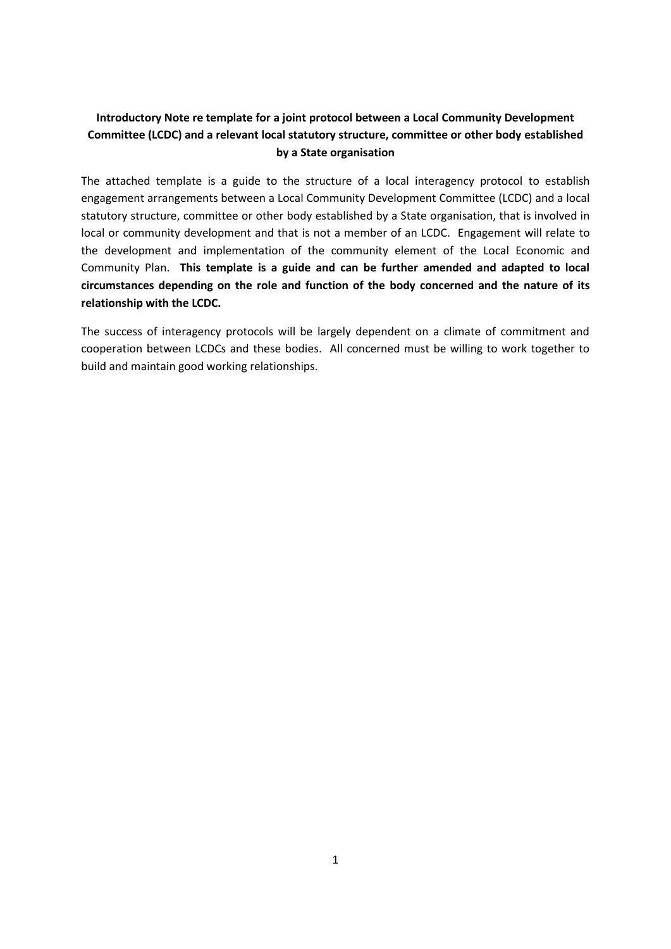# **Introductory Note re template for a joint protocol between a Local Community Development Committee (LCDC) and a relevant local statutory structure, committee or other body established by a State organisation**

The attached template is a guide to the structure of a local interagency protocol to establish engagement arrangements between a Local Community Development Committee (LCDC) and a local statutory structure, committee or other body established by a State organisation, that is involved in local or community development and that is not a member of an LCDC. Engagement will relate to the development and implementation of the community element of the Local Economic and Community Plan. **This template is a guide and can be further amended and adapted to local circumstances depending on the role and function of the body concerned and the nature of its relationship with the LCDC.**

The success of interagency protocols will be largely dependent on a climate of commitment and cooperation between LCDCs and these bodies. All concerned must be willing to work together to build and maintain good working relationships.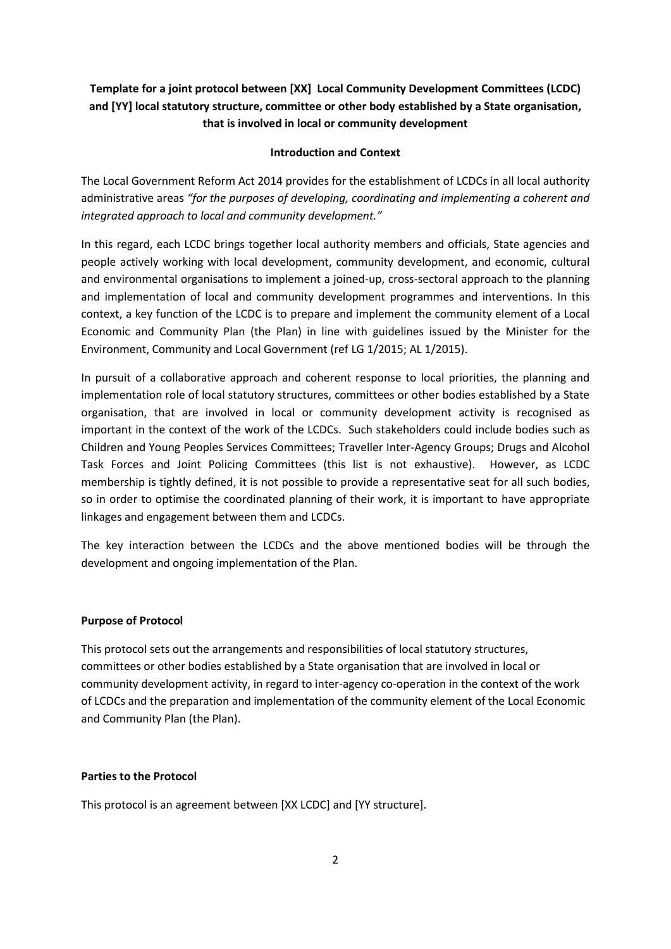# **Template for a joint protocol between [XX] Local Community Development Committees (LCDC) and [YY] local statutory structure, committee or other body established by a State organisation, that is involved in local or community development**

#### **Introduction and Context**

The Local Government Reform Act 2014 provides for the establishment of LCDCs in all local authority administrative areas *"for the purposes of developing, coordinating and implementing a coherent and integrated approach to local and community development."*

In this regard, each LCDC brings together local authority members and officials, State agencies and people actively working with local development, community development, and economic, cultural and environmental organisations to implement a joined-up, cross-sectoral approach to the planning and implementation of local and community development programmes and interventions. In this context, a key function of the LCDC is to prepare and implement the community element of a Local Economic and Community Plan (the Plan) in line with guidelines issued by the Minister for the Environment, Community and Local Government (ref LG 1/2015; AL 1/2015).

In pursuit of a collaborative approach and coherent response to local priorities, the planning and implementation role of local statutory structures, committees or other bodies established by a State organisation, that are involved in local or community development activity is recognised as important in the context of the work of the LCDCs. Such stakeholders could include bodies such as Children and Young Peoples Services Committees; Traveller Inter-Agency Groups; Drugs and Alcohol Task Forces and Joint Policing Committees (this list is not exhaustive). However, as LCDC membership is tightly defined, it is not possible to provide a representative seat for all such bodies, so in order to optimise the coordinated planning of their work, it is important to have appropriate linkages and engagement between them and LCDCs.

The key interaction between the LCDCs and the above mentioned bodies will be through the development and ongoing implementation of the Plan.

#### **Purpose of Protocol**

This protocol sets out the arrangements and responsibilities of local statutory structures, committees or other bodies established by a State organisation that are involved in local or community development activity, in regard to inter-agency co-operation in the context of the work of LCDCs and the preparation and implementation of the community element of the Local Economic and Community Plan (the Plan).

#### **Parties to the Protocol**

This protocol is an agreement between [XX LCDC] and [YY structure].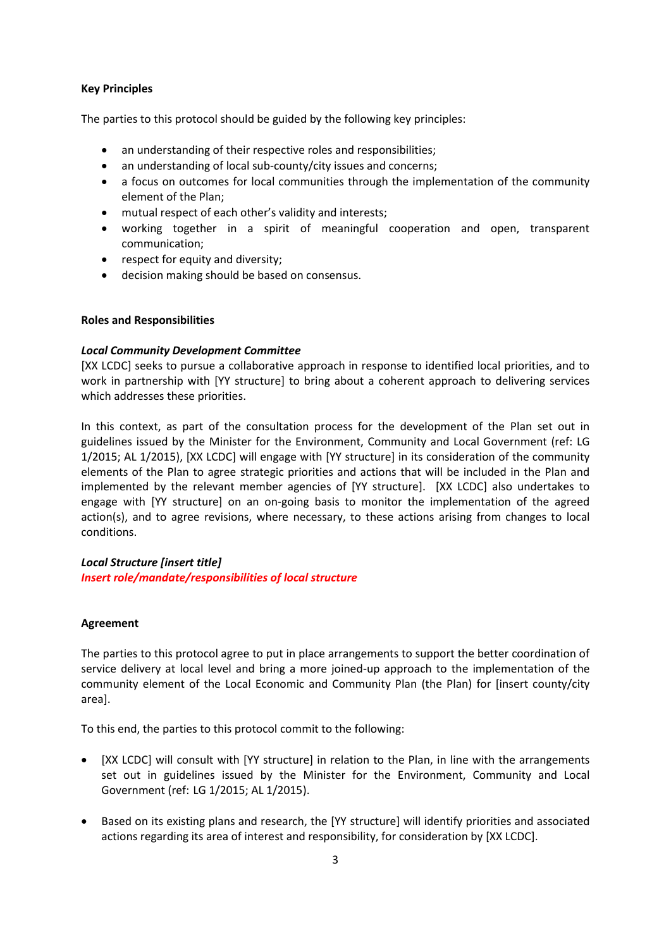#### **Key Principles**

The parties to this protocol should be guided by the following key principles:

- an understanding of their respective roles and responsibilities;
- an understanding of local sub-county/city issues and concerns;
- a focus on outcomes for local communities through the implementation of the community element of the Plan;
- mutual respect of each other's validity and interests;
- working together in a spirit of meaningful cooperation and open, transparent communication;
- respect for equity and diversity;
- decision making should be based on consensus.

## **Roles and Responsibilities**

## *Local Community Development Committee*

[XX LCDC] seeks to pursue a collaborative approach in response to identified local priorities, and to work in partnership with [YY structure] to bring about a coherent approach to delivering services which addresses these priorities.

In this context, as part of the consultation process for the development of the Plan set out in guidelines issued by the Minister for the Environment, Community and Local Government (ref: LG 1/2015; AL 1/2015), [XX LCDC] will engage with [YY structure] in its consideration of the community elements of the Plan to agree strategic priorities and actions that will be included in the Plan and implemented by the relevant member agencies of [YY structure]. [XX LCDC] also undertakes to engage with [YY structure] on an on-going basis to monitor the implementation of the agreed action(s), and to agree revisions, where necessary, to these actions arising from changes to local conditions.

# *Local Structure [insert title]*

*Insert role/mandate/responsibilities of local structure*

# **Agreement**

The parties to this protocol agree to put in place arrangements to support the better coordination of service delivery at local level and bring a more joined-up approach to the implementation of the community element of the Local Economic and Community Plan (the Plan) for [insert county/city area].

To this end, the parties to this protocol commit to the following:

- [XX LCDC] will consult with [YY structure] in relation to the Plan, in line with the arrangements set out in guidelines issued by the Minister for the Environment, Community and Local Government (ref: LG 1/2015; AL 1/2015).
- Based on its existing plans and research, the [YY structure] will identify priorities and associated actions regarding its area of interest and responsibility, for consideration by [XX LCDC].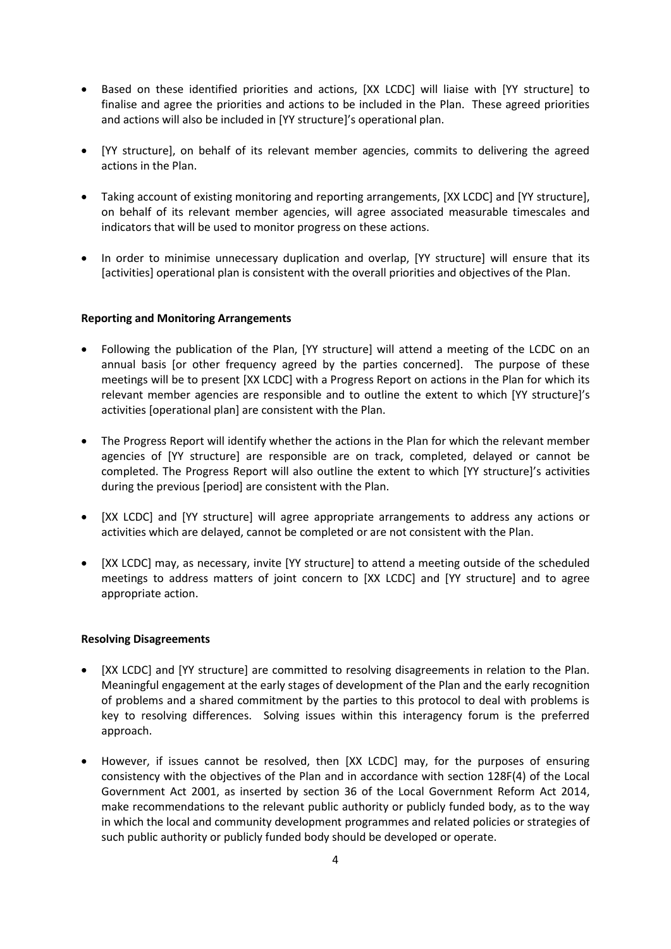- Based on these identified priorities and actions, [XX LCDC] will liaise with [YY structure] to finalise and agree the priorities and actions to be included in the Plan. These agreed priorities and actions will also be included in [YY structure]'s operational plan.
- [YY structure], on behalf of its relevant member agencies, commits to delivering the agreed actions in the Plan.
- Taking account of existing monitoring and reporting arrangements, [XX LCDC] and [YY structure], on behalf of its relevant member agencies, will agree associated measurable timescales and indicators that will be used to monitor progress on these actions.
- In order to minimise unnecessary duplication and overlap, [YY structure] will ensure that its [activities] operational plan is consistent with the overall priorities and objectives of the Plan.

## **Reporting and Monitoring Arrangements**

- Following the publication of the Plan, [YY structure] will attend a meeting of the LCDC on an annual basis [or other frequency agreed by the parties concerned]. The purpose of these meetings will be to present [XX LCDC] with a Progress Report on actions in the Plan for which its relevant member agencies are responsible and to outline the extent to which [YY structure]'s activities [operational plan] are consistent with the Plan.
- The Progress Report will identify whether the actions in the Plan for which the relevant member agencies of [YY structure] are responsible are on track, completed, delayed or cannot be completed. The Progress Report will also outline the extent to which [YY structure]'s activities during the previous [period] are consistent with the Plan.
- [XX LCDC] and [YY structure] will agree appropriate arrangements to address any actions or activities which are delayed, cannot be completed or are not consistent with the Plan.
- [XX LCDC] may, as necessary, invite [YY structure] to attend a meeting outside of the scheduled meetings to address matters of joint concern to [XX LCDC] and [YY structure] and to agree appropriate action.

# **Resolving Disagreements**

- [XX LCDC] and [YY structure] are committed to resolving disagreements in relation to the Plan. Meaningful engagement at the early stages of development of the Plan and the early recognition of problems and a shared commitment by the parties to this protocol to deal with problems is key to resolving differences. Solving issues within this interagency forum is the preferred approach.
- However, if issues cannot be resolved, then [XX LCDC] may, for the purposes of ensuring consistency with the objectives of the Plan and in accordance with section 128F(4) of the Local Government Act 2001, as inserted by section 36 of the Local Government Reform Act 2014, make recommendations to the relevant public authority or publicly funded body, as to the way in which the local and community development programmes and related policies or strategies of such public authority or publicly funded body should be developed or operate.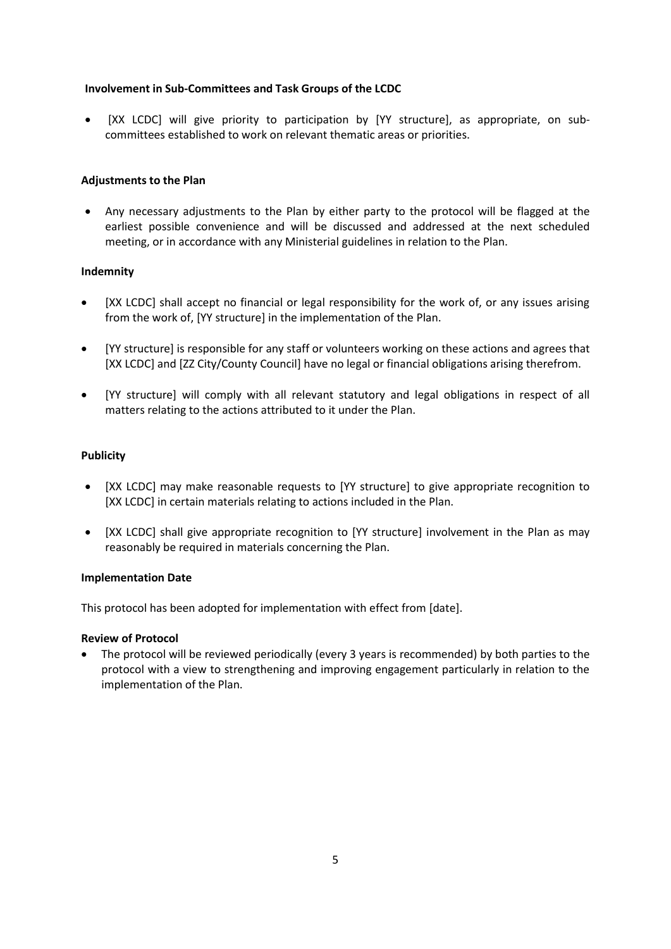## **Involvement in Sub-Committees and Task Groups of the LCDC**

 [XX LCDC] will give priority to participation by [YY structure], as appropriate, on subcommittees established to work on relevant thematic areas or priorities.

## **Adjustments to the Plan**

 Any necessary adjustments to the Plan by either party to the protocol will be flagged at the earliest possible convenience and will be discussed and addressed at the next scheduled meeting, or in accordance with any Ministerial guidelines in relation to the Plan.

## **Indemnity**

- [XX LCDC] shall accept no financial or legal responsibility for the work of, or any issues arising from the work of, [YY structure] in the implementation of the Plan.
- [YY structure] is responsible for any staff or volunteers working on these actions and agrees that [XX LCDC] and [ZZ City/County Council] have no legal or financial obligations arising therefrom.
- [YY structure] will comply with all relevant statutory and legal obligations in respect of all matters relating to the actions attributed to it under the Plan.

## **Publicity**

- [XX LCDC] may make reasonable requests to [YY structure] to give appropriate recognition to [XX LCDC] in certain materials relating to actions included in the Plan.
- [XX LCDC] shall give appropriate recognition to [YY structure] involvement in the Plan as may reasonably be required in materials concerning the Plan.

#### **Implementation Date**

This protocol has been adopted for implementation with effect from [date].

#### **Review of Protocol**

 The protocol will be reviewed periodically (every 3 years is recommended) by both parties to the protocol with a view to strengthening and improving engagement particularly in relation to the implementation of the Plan.